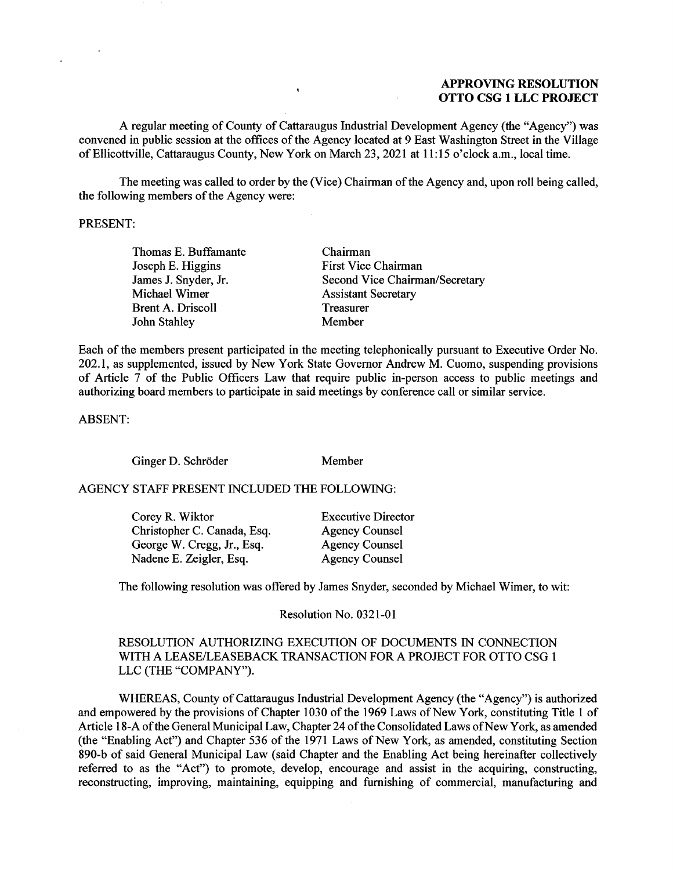## APPROVING RESOLUTION **APPROVING RESOLUTION**  OTTO CSG 1 LLC PROJECT **OTTO CSG 1 LLC PROJECT**

A regular meeting of County of Cattaraugus Industrial Development Agency (the "Agency") was A regular meeting of County of Cattaraugus Industrial Development Agency (the "Agency") was convened in public session at the offices of the Agency located at 9 East Washington Street in the Village convened in public session at the offices of the Agency located at 9 East Washington Street in the Village of Ellicottville, Cattaraugus County, New York on March 23, 2021 at 11:15 o'clock a.m., local time. of Ellicottville, Cattaraugus County, New York on March 23, 2021 at 11:15 o'clock a.m., local time.

 $\bullet$ 

The meeting was called to order by the (Vice) Chairman of the Agency and, upon roll being called, The meeting was called to order by the (Vice) Chairman of the Agency and, upon roll being called, the following members of the Agency were: the following members of the Agency were:

#### PRESENT: PRESENT:

Thomas E. Buffamante Thomas E. Buffamante Joseph E. Higgins Joseph E. Higgins James J. Snyder, Jr. James J. Snyder, Jr. Michael Wimer Michael Wimer Brent A. Driscoll Brent A. Driscoll John Stahley John Stahley

Chairman Chairman First Vice Chairman First Vice Chairman Second Vice Chairman/Secretary Second Vice Chairman/Secretary Assistant Secretary Assistant Secretary Treasurer Treasurer Member Member

Each of the members present participated in the meeting telephonically pursuant to Executive Order No. Each of the members present participated in the meeting telephonically pursuant to Executive Order No. 202.1, as supplemented, issued by New York State Governor Andrew M. Cuomo, suspending provisions 202.1, as supplemented, issued by New York State Governor Andrew M. Cuomo, suspending provisions of Article 7 of the Public Officers Law that require public in-person access to public meetings and of Article 7 of the Public Officers Law that require public in-person access to public meetings and authorizing board members to participate in said meetings by conference call or similar service. authorizing board members to participate in said meetings by conference call or similar service.

ABSENT: ABSENT:

Ginger D. Schroder Member Ginger D. Schroder Member

#### AGENCY STAFF PRESENT INCLUDED THE FOLLOWING: AGENCY STAFF PRESENT INCLUDED THE FOLLOWING:

| Corey R. Wiktor             | <b>Executive Director</b> |
|-----------------------------|---------------------------|
| Christopher C. Canada, Esq. | <b>Agency Counsel</b>     |
| George W. Cregg, Jr., Esq.  | <b>Agency Counsel</b>     |
| Nadene E. Zeigler, Esq.     | <b>Agency Counsel</b>     |

The following resolution was offered by James Snyder, seconded by Michael Wimer, to wit: The following resolution was offered by James Snyder, seconded by Michael Wimer, to wit:

Resolution No. 0321-01 Resolution No. 0321-01

### RESOLUTION AUTHORIZING EXECUTION OF DOCUMENTS IN CONNECTION RESOLUTION AUTHORIZING EXECUTION OF DOCUMENTS IN CONNECTION WITH A LEASE/LEASEBACK TRANSACTION FOR A PROJECT FOR OTTO CSG 1 WITH A LEASE/LEASEBACK TRANSACTION FOR A PROJECT FOR OTTO CSG 1 LLC (THE "COMPANY"). LLC (THE "COMPANY").

WHEREAS, County of Cattaraugus Industrial Development Agency (the "Agency") is authorized WHEREAS, County of Cattaraugus Industrial Development Agency (the "Agency") is authorized and empowered by the provisions of Chapter 1030 of the 1969 Laws of New York, constituting Title 1 of and empowered by the provisions of Chapter 1030 of the 1969 Laws of New York, constituting Title 1 of Article 18-A of the General Municipal Law, Chapter 24 of the Consolidated Laws of New York, as amended Article 18-A of the General Municipal Law, Chapter 24 of the Consolidated Laws of New York, as amended (the "Enabling Act") and Chapter 536 of the 1971 Laws of New York, as amended, constituting Section (the "Enabling Act") and Chapter 536 of the 1971 Laws of New York, as amended, constituting Section 890-b of said General Municipal Law (said Chapter and the Enabling Act being hereinafter collectively 890-b of said General Municipal Law (said Chapter and the Enabling Act being hereinafter collectively referred to as the "Act") to promote, develop, encourage and assist in the acquiring, constructing, reconstructing, improving, maintaining, equipping and furnishing of commercial, manufacturing and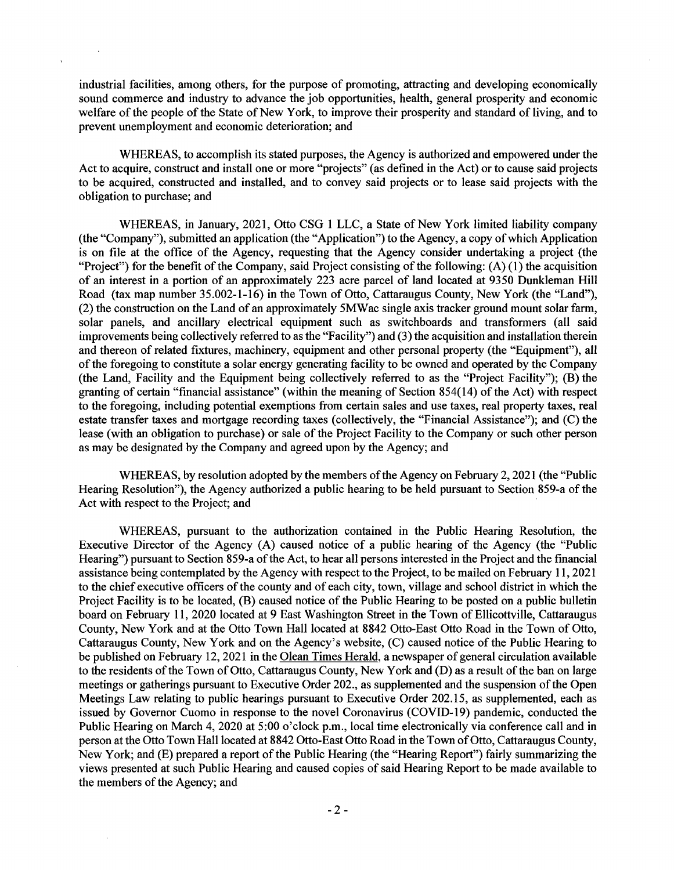industrial facilities, among others, for the purpose of promoting, attracting and developing economically industrial facilities, among others, for the purpose of promoting, attracting and developing economically sound commerce and industry to advance the job opportunities, health, general prosperity and economic sound commerce and industry to advance the job opportunities, health, general prosperity and economic welfare of the people of the State of New York, to improve their prosperity and standard of living, and to welfare of the people of the State of New York, to improve their prosperity and standard of living, and to prevent unemployment and economic deterioration; and prevent unemployment and economic deterioration; and

WHEREAS, to accomplish its stated purposes, the Agency is authorized and empowered under the WHEREAS, to accomplish its stated purposes, the Agency is authorized and empowered under the Act to acquire, construct and install one or more "projects" (as defined in the Act) or to cause said projects Act to acquire, construct and install one or more "projects" (as defined in the Act) or to cause said projects to be acquired, constructed and installed, and to convey said projects or to lease said projects with the to be acquired, constructed and installed, and to convey said projects or to lease said projects with the obligation to purchase; and obligation to purchase; and

WHEREAS, in January, 2021, Otto CSG 1 LLC, a State of New York limited liability company WHEREAS, in January, 2021, Otto CSG 1 LLC, a State of New York limited liability company (the "Company"), submitted an application (the "Application") to the Agency, a copy of which Application (the "Company"), submitted an application (the "Application") to the Agency, a copy of which Application is on file at the office of the Agency, requesting that the Agency consider undertaking a project (the is on file at the office of the Agency, requesting that the Agency consider undertaking a project (the "Project") for the benefit of the Company, said Project consisting of the following: (A) (1) the acquisition "Project") for the benefit of the Company, said Project consisting of the following: (A) (1) the acquisition of an interest in a portion of an approximately 223 acre parcel of land located at 9350 Dunkleman Hill Road (tax map number 35.002-1-16) in the Town of Otto, Cattaraugus County, New York (the "Land"), Road (tax map number 35.002-1-16) in the Town of Otto, Cattaraugus County, New York (the "Land"), (2) the construction on the Land of an approximately 5MWac single axis tracker ground mount solar farm, (2) the construction on the Land of an approximately 5MWac single axis tracker ground mount solar farm, solar panels, and ancillary electrical equipment such as switchboards and transformers (all said improvements being collectively referred to as the "Facility") and (3) the acquisition and installation therein improvements being collectively referred to as the "Facility") and (3) the acquisition and installation therein and thereon of related fixtures, machinery, equipment and other personal property (the "Equipment"), all and thereon of related fixtures, machinery, equipment and other personal property (the "Equipment"), all of the foregoing to constitute a solar energy generating facility to be owned and operated by the Company of the foregoing to constitute a solar energy generating facility to be owned and operated by the Company (the Land, Facility and the Equipment being collectively referred to as the "Project Facility"); (B) the (the Land, Facility and the Equipment being collectively referred to as the "Project Facility"); (B) the granting of certain "financial assistance" (within the meaning of Section 854(14) of the Act) with respect granting of certain "financial assistance" (within the meaning of Section 854(14) of the Act) with respect to the foregoing, including potential exemptions from certain sales and use taxes, real property taxes, real to the foregoing, including potential exemptions from certain sales and use taxes, real property taxes, real estate transfer taxes and mortgage recording taxes (collectively, the "Financial Assistance"); and (C) the estate transfer taxes and mortgage recording taxes (collectively, the "Financial Assistance"); and (C) the lease (with an obligation to purchase) or sale of the Project Facility to the Company or such other person lease (with an obligation to purchase) or sale of the Project Facility to the Company or such other person as may be designated by the Company and agreed upon by the Agency; and as may be designated by the Company and agreed upon by the Agency; and

WHEREAS, by resolution adopted by the members of the Agency on February 2, 2021 (the "Public WHEREAS, by resolution adopted by the members of the Agency on February 2, 2021 (the "Public Hearing Resolution"), the Agency authorized a public hearing to be held pursuant to Section 859-a of the Hearing Resolution"), the Agency authorized a public hearing to be held pursuant to Section 859-a of the Act with respect to the Project; and Act with respect to the Project; and

WHEREAS, pursuant to the authorization contained in the Public Hearing Resolution, the WHEREAS, pursuant to the authorization contained in the Public Hearing Resolution, the Executive Director of the Agency (A) caused notice of a public hearing of the Agency (the "Public Executive Director of the Agency (A) caused notice of a public hearing of the Agency (the "Public Hearing") pursuant to Section 859-a of the Act, to hear all persons interested in the Project and the financial Hearing") pursuant to Section 859-a of the Act, to hear all persons interested in the Project and the financial assistance being contemplated by the Agency with respect to the Project, to be mailed on February 11, 2021 assistance being contemplated by the Agency with respect to the Project, to be mailed on February 11, 2021 to the chief executive officers of the county and of each city, town, village and school district in which the to the chief executive officers of the county and of each city, town, village and school district in which the Project Facility is to be located, (B) caused notice of the Public Hearing to be posted on a public bulletin Project Facility is to be located, (B) caused notice of the Public Hearing to be posted on a public bulletin board on February 11, 2020 located at 9 East Washington Street in the Town of Ellicottville, Cattaraugus board on February 11, 2020 located at 9 East Washington Street in the Town of Ellicottville, Cattaraugus County, New York and at the Otto Town Hall located at 8842 Otto-East Otto Road in the Town of Otto, County, New York and at the Otto Town Hall located at 8842 Otto-East Otto Road in the Town of Otto, Cattaraugus County, New York and on the Agency's website, (C) caused notice of the Public Hearing to Cattaraugus County, New York and on the Agency's website, (C) caused notice of the Public Hearing to be published on February 12, 2021 in the **Olean Times Herald**, a newspaper of general circulation available to the residents of the Town of Otto, Cattaraugus County, New York and (D) as a result of the ban on large meetings or gatherings pursuant to Executive Order 202., as supplemented and the suspension of the Open meetings or gatherings pursuant to Executive Order 202., as supplemented and the suspension of the Open Meetings Law relating to public hearings pursuant to Executive Order 202.15, as supplemented, each as Meetings Law relating to public hearings pursuant to Executive Order 202.15, as supplemented, each as issued by Governor Cuomo in response to the novel Coronavirus (COVID-19) pandemic, conducted the issued by Governor Cuomo in response to the novel Coronavirus (COVID-19) pandemic, conducted the Public Hearing on March 4, 2020 at 5:00 o'clock p.m., local time electronically via conference call and in Public Hearing on March 4, 2020 at 5:00 o'clock p.m., local time electronically via conference call and in person at the Otto Town Hall located at 8842 Otto-East Otto Road in the Town of Otto, Cattaraugus County, person at the Otto Town Hall located at 8842 Otto-East Otto Road in the Town of Otto, Cattaraugus County, New York; and (E) prepared a report of the Public Hearing (the "Hearing Report") fairly summarizing the New York; and (E) prepared a report of the Public Hearing (the "Hearing Report") fairly summarizing the views presented at such Public Hearing and caused copies of said Hearing Report to be made available to views presented at such Public Hearing and caused copies of said Hearing Report to be made available to the members of the Agency; and the members of the Agency; and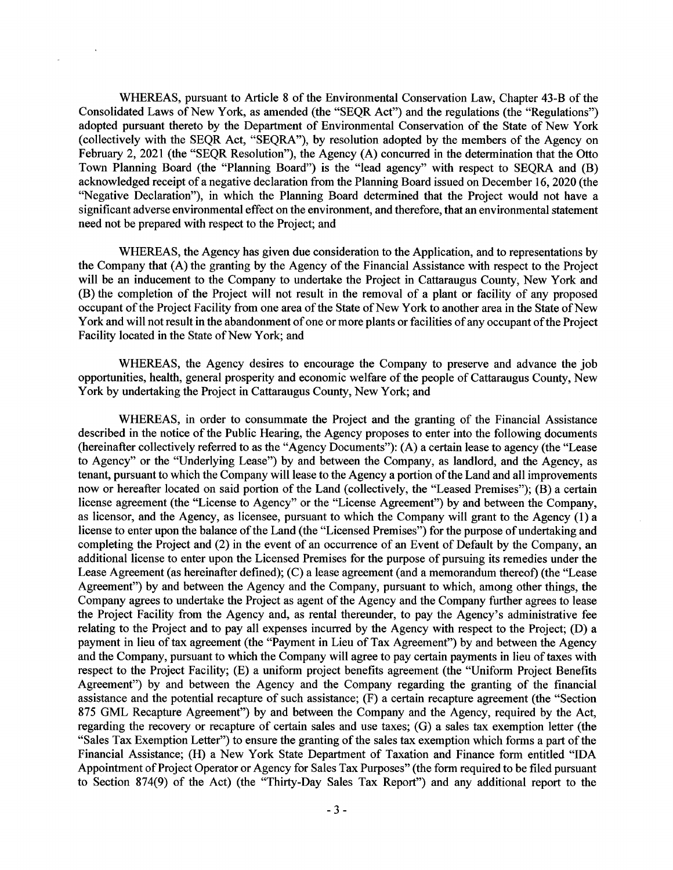WHEREAS, pursuant to Article 8 of the Environmental Conservation Law, Chapter 43-B of the WHEREAS, pursuant to Article 8 of the Environmental Conservation Law, Chapter 43-B of the Consolidated Laws of New York, as amended (the "SEQR Act") and the regulations (the "Regulations") Consolidated Laws of New York, as amended (the "SEQR Act") and the regulations (the "Regulations") adopted pursuant thereto by the Department of Environmental Conservation of the State of New York adopted pursuant thereto by the Department of Environmental Conservation of the State of New York (collectively with the SEQR Act, "SEQRA"), by resolution adopted by the members of the Agency on February 2, 2021 (the "SEQR Resolution"), the Agency (A) concurred in the determination that the Otto February 2, 2021 (the "SEQR Resolution"), the Agency (A) concurred in the determination that the Otto Town Planning Board (the "Planning Board") is the "lead agency" with respect to SEQRA and (B) Town Planning Board (the "Planning Board") is the "lead agency" with respect to SEQRA and (B) acknowledged receipt of a negative declaration from the Planning Board issued on December 16, 2020 (the acknowledged receipt of a negative declaration from the Planning Board issued on December 16, 2020 (the "Negative Declaration"), in which the Planning Board determined that the Project would not have a "Negative Declaration"), in which the Planning Board determined that the Project would not have a significant adverse environmental effect on the environment, and therefore, that an environmental statement significant adverse environmental effect on the environment, and therefore, that an environmental statement need not be prepared with respect to the Project; and need not be prepared with respect to the Project; and

WHEREAS, the Agency has given due consideration to the Application, and to representations by WHEREAS, the Agency has given due consideration to the Application, and to representations by the Company that (A) the granting by the Agency of the Financial Assistance with respect to the Project will be an inducement to the Company to undertake the Project in Cattaraugus County, New York and will be an inducement to the Company to undertake the Project in Cattaraugus County, New York and (B) the completion of the Project will not result in the removal of a plant or facility of any proposed (B) the completion of the Project will not result in the removal of a plant or facility of any proposed occupant of the Project Facility from one area of the State of New York to another area in the State of New occupant of the Project Facility from one area of the State of New York to another area in the State of New York and will not result in the abandonment of one or more plants or facilities of any occupant of the Project York and will not result in the abandonment of one or more plants or facilities of any occupant of the Project Facility located in the State of New York; and Facility located in the State of New York; and

WHEREAS, the Agency desires to encourage the Company to preserve and advance the job WHEREAS, the Agency desires to encourage the Company to preserve and advance the job opportunities, health, general prosperity and economic welfare of the people of Cattaraugus County, New opportunities, health, general prosperity and economic welfare of the people of Cattaraugus County, New York by undertaking the Project in Cattaraugus County, New York; and

WHEREAS, in order to consummate the Project and the granting of the Financial Assistance WHEREAS, in order to consummate the Project and the granting of the Financial Assistance described in the notice of the Public Hearing, the Agency proposes to enter into the following documents described in the notice of the Public Hearing, the Agency proposes to enter into the following documents (hereinafter collectively referred to as the "Agency Documents"): (A) a certain lease to agency (the "Lease (hereinafter collectively referred to as the "Agency Documents"): (A) a certain lease to agency (the "Lease to Agency" or the "Underlying Lease") by and between the Company, as landlord, and the Agency, as tenant, pursuant to which the Company will lease to the Agency a portion of the Land and all improvements tenant, pursuant to which the Company will lease to the Agency a portion of the Land and all improvements now or hereafter located on said portion of the Land (collectively, the "Leased Premises"); (B) a certain now or hereafter located on said portion of the Land ( collectively, the "Leased Premises"); (B) a certain license agreement (the "License to Agency" or the "License Agreement") by and between the Company, license agreement (the "License to Agency" or the "License Agreement") by and between the Company, as licensor, and the Agency, as licensee, pursuant to which the Company will grant to the Agency (1) a as licensor, and the Agency, as licensee, pursuant to which the Company will grant to the Agency (1) a license to enter upon the balance of the Land (the "Licensed Premises") for the purpose of undertaking and license to enter upon the balance of the Land (the "Licensed Premises") for the purpose of undertaking and completing the Project and (2) in the event of an occurrence of an Event of Default by the Company, an completing the Project and (2) in the event of an occurrence of an Event of Default by the Company, an additional license to enter upon the Licensed Premises for the purpose of pursuing its remedies under the additional license to enter upon the Licensed Premises for the purpose of pursuing its remedies under the Lease Agreement (as hereinafter defined); (C) a lease agreement (and a memorandum thereof) (the "Lease Lease Agreement (as hereinafter defined); (C) a lease agreement (and a memorandum thereof) (the "Lease Agreement") by and between the Agency and the Company, pursuant to which, among other things, the Agreement") by and between the Agency and the Company, pursuant to which, among other things, the Company agrees to undertake the Project as agent of the Agency and the Company further agrees to lease Company agrees to undertake the Project as agent of the Agency and the Company further agrees to lease the Project Facility from the Agency and, as rental thereunder, to pay the Agency's administrative fee the Project Facility from the Agency and, as rental thereunder, to pay the Agency's administrative fee relating to the Project and to pay all expenses incurred by the Agency with respect to the Project; (D) a payment in lieu of tax agreement (the "Payment in Lieu of Tax Agreement") by and between the Agency payment in lieu of tax agreement (the "Payment in Lieu of Tax Agreement") by and between the Agency and the Company, pursuant to which the Company will agree to pay certain payments in lieu of taxes with and the Company, pursuant to which the Company will agree to pay certain payments in lieu of taxes with respect to the Project Facility; (E) a uniform project benefits agreement (the "Uniform Project Benefits respect to the Project Facility; (E) a uniform project benefits agreement (the "Uniform Project Benefits Agreement") by and between the Agency and the Company regarding the granting of the financial Agreement") by and between the Agency and the Company regarding the granting of the financial assistance and the potential recapture of such assistance; (F) a certain recapture agreement (the "Section assistance and the potential recapture of such assistance; (F) a certain recapture agreement (the "Section 875 GML Recapture Agreement") by and between the Company and the Agency, required by the Act, 875 GML Recapture Agreement") by and between the Company and the Agency, required by the Act, regarding the recovery or recapture of certain sales and use taxes; (G) a sales tax exemption letter (the regarding the recovery or recapture of certain sales and use taxes; (G) a sales tax exemption letter (the "Sales Tax Exemption Letter") to ensure the granting of the sales tax exemption which forms a part of the "Sales Tax Exemption Letter") to ensure the granting of the sales tax exemption which forms a part of the Financial Assistance; (H) a New York State Department of Taxation and Finance form entitled "IDA Financial Assistance; (H) a New York State Department of Taxation and Finance form entitled "IDA Appointment of Project Operator or Agency for Sales Tax Purposes" (the form required to be filed pursuant Appointment of Project Operator or Agency for Sales Tax Purposes" (the form required to be filed pursuant to Section 874(9) of the Act) (the "Thirty-Day Sales Tax Report") and any additional report to the to Section 874(9) of the Act) (the "Thirty-Day Sales Tax Report") and any additional report to the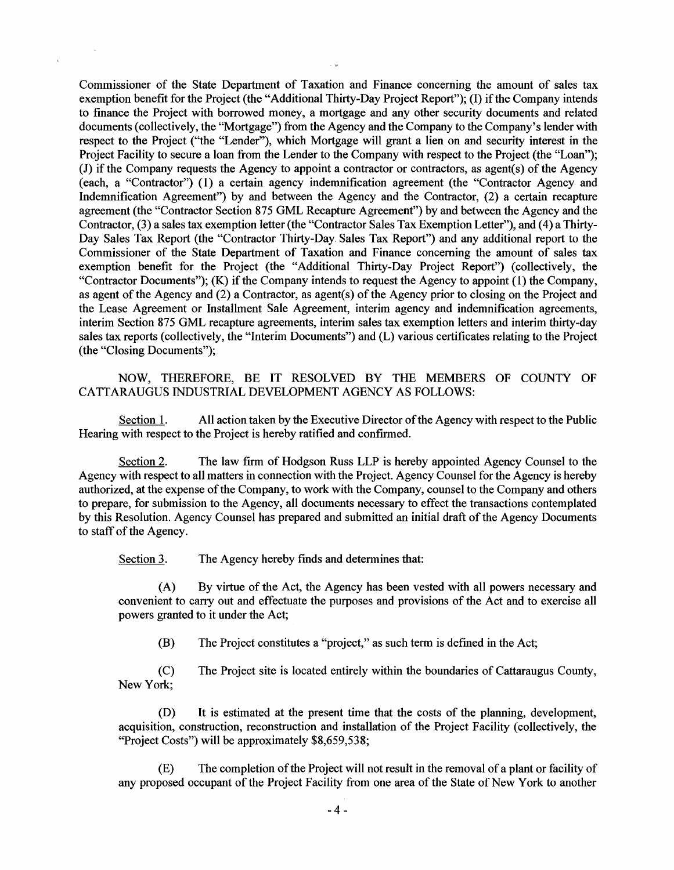Commissioner of the State Department of Taxation and Finance concerning the amount of sales tax Commissioner of the State Department of Taxation and Finance concerning the amount of sales tax exemption benefit for the Project (the "Additional Thirty-Day Project Report"); (I) if the Company intends exemption benefit for the Project (the "Additional Thirty-Day Project Report"); (I) if the Company intends to finance the Project with borrowed money, a mortgage and any other security documents and related to finance the Project with borrowed money, a mortgage and any other security documents and related documents (collectively, the "Mortgage") from the Agency and the Company to the Company's lender with documents ( collectively, the "Mortgage") from the Agency and the Company to the Company's lender with respect to the Project ("the "Lender"), which Mortgage will grant a lien on and security interest in the respect to the Project ("the "Lender"), which Mortgage will grant a lien on and security interest in the Project Facility to secure a loan from the Lender to the Company with respect to the Project (the "Loan"); Project Facility to secure a loan from the Lender to the Company with respect to the Project (the "Loan"); (J) if the Company requests the Agency to appoint a contractor or contractors, as agent(s) of the Agency (J) if the Company requests the Agency to appoint a contractor or contractors, as agent(s) of the Agency (each, a "Contractor") (1) a certain agency indemnification agreement (the "Contractor Agency and (each, a "Contractor") (1) a certain agency indemnification agreement (the "Contractor Agency and Indemnification Agreement") by and between the Agency and the Contractor, (2) a certain recapture Indemnification Agreement") by and between the Agency and the Contractor, (2) a certain recapture agreement (the "Contractor Section 875 GML Recapture Agreement") by and between the Agency and the agreement (the "Contractor Section 875 GML Recapture Agreement") by and between the Agency and the Contractor, (3) a sales tax exemption letter (the "Contractor Sales Tax Exemption Letter"), and (4) a Thirty-Contractor, (3) a sales tax exemption letter ( the "Contractor Sales Tax Exemption Letter"), and ( 4) a Thirty-Day Sales Tax Report (the "Contractor Thirty-Day. Sales Tax Report") and any additional report to the Day Sales Tax Report (the "Contractor Thirty-Day. Sales Tax Report") and any additional report to the Commissioner of the State Department of Taxation and Finance concerning the amount of sales tax Commissioner of the State Department of Taxation and Finance concerning the amount of sales tax exemption benefit for the Project (the "Additional Thirty-Day Project Report") (collectively, the exemption benefit for the Project (the "Additional Thirty-Day Project Report") (collectively, the "Contractor Documents"); (K) if the Company intends to request the Agency to appoint (1) the Company, "Contractor Documents"); (K) if the Company intends to request the Agency to appoint (1) the Company, as agent of the Agency and (2) a Contractor, as agent(s) of the Agency prior to closing on the Project and as agent of the Agency and (2) a Contractor, as agent(s) of the Agency prior to closing on the Project and the Lease Agreement or Installment Sale Agreement, interim agency and indemnification agreements, the Lease Agreement or Installment Sale Agreement, interim agency and indemnification agreements, interim Section 875 GML recapture agreements, interim sales tax exemption letters and interim thirty-day interim Section 875 GML recapture agreements, interim sales tax exemption letters and interim thirty-day sales tax reports (collectively, the "Interim Documents") and (L) various certificates relating to the Project sales tax reports (collectively, the "Interim Documents") and (L) various certificates relating to the Project (the "Closing Documents"); (the "Closing Documents");

NOW, THEREFORE, BE IT RESOLVED BY THE MEMBERS OF COUNTY OF NOW, THEREFORE, BE IT RESOLVED BY THE MEMBERS OF COUNTY OF CATTARAUGUS INDUSTRIAL DEVELOPMENT AGENCY AS FOLLOWS: CATTARAUGUS INDUSTRIAL DEVELOPMENT AGENCY AS FOLLOWS:

Section 1. All action taken by the Executive Director of the Agency with respect to the Public Hearing with respect to the Project is hereby ratified and confirmed. Hearing with respect to the Project is hereby ratified and confirmed.

Section 2. The law firm of Hodgson Russ LLP is hereby appointed Agency Counsel to the Agency with respect to all matters in connection with the Project. Agency Counsel for the Agency is hereby Agency with respect to all matters in connection with the Project. Agency Counsel for the Agency is hereby authorized, at the expense of the Company, to work with the Company, counsel to the Company and others authorized, at the expense of the Company, to work with the Company, counsel to the Company and others to prepare, for submission to the Agency, all documents necessary to effect the transactions contemplated to prepare, for submission to the Agency, all documents necessary to effect the transactions contemplated by this Resolution. Agency Counsel has prepared and submitted an initial draft of the Agency Documents by this Resolution. Agency Counsel has prepared and submitted an initial draft of the Agency Documents to staff of the Agency. to staff of the Agency.

Section 3. The Agency hereby finds and determines that:

(A) By virtue of the Act, the Agency has been vested with all powers necessary and (A) By virtue of the Act, the Agency has been vested with all powers necessary and convenient to carry out and effectuate the purposes and provisions of the Act and to exercise all powers granted to it under the Act; powers granted to it under the Act;

(B) The Project constitutes a "project," as such term is defined in the Act; The Project constitutes a "project," as such term is defined in the Act; (B)

(C) The Project site is located entirely within the boundaries of Cattaraugus County, The Project site is located entirely within the boundaries of Cattaraugus County, New York; New York; (C)

(D) It is estimated at the present time that the costs of the planning, development, (D) It is estimated at the present time that the costs of the planning, development, acquisition, construction, reconstruction and installation of the Project Facility (collectively, the acquisition, construction, reconstruction and installation of the Project Facility (collectively, the "Project Costs") will be approximately \$8,659,538; "Project Costs") will be approximately \$8,659,538;

(E) The completion of the Project will not result in the removal of a plant or facility of (E) The completion of the Project will not result in the removal of a plant or facility of any proposed occupant of the Project Facility from one area of the State of New York to another any proposed occupant of the Project Facility from one area of the State of New York to another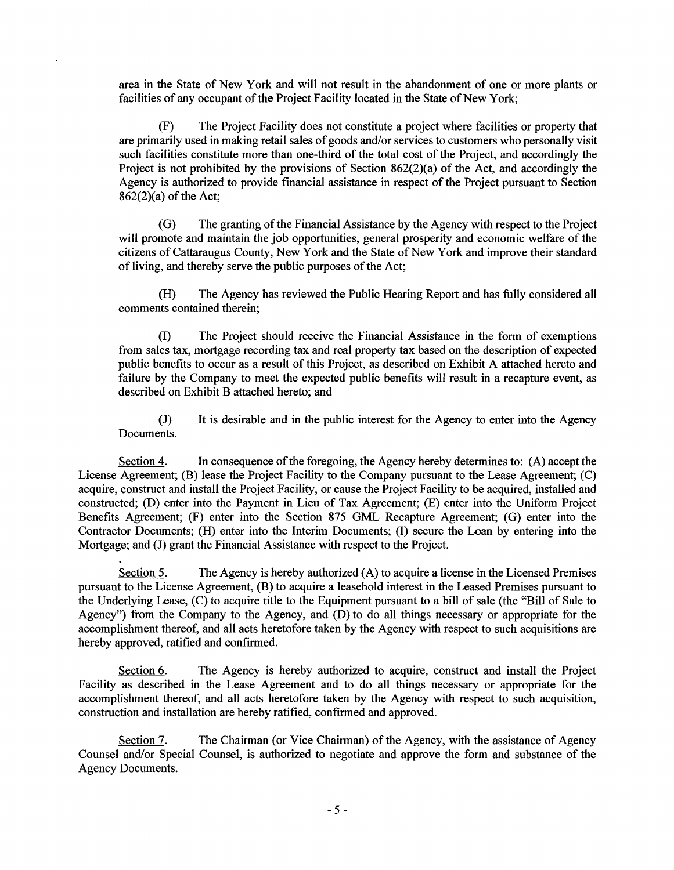area in the State of New York and will not result in the abandonment of one or more plants or area in the State of New York and will not result in the abandonment of one or more plants or facilities of any occupant of the Project Facility located in the State of New York;

(F) The Project Facility does not constitute a project where facilities or property that (F) The Project Facility does not constitute a project where facilities or property that are primarily used in making retail sales of goods and/or services to customers who personally visit are primarily used in making retail sales of goods and/or services to customers who personally visit such facilities constitute more than one-third of the total cost of the Project, and accordingly the such facilities constitute more than one-third of the total cost of the Project, and accordingly the Project is not prohibited by the provisions of Section 862(2)(a) of the Act, and accordingly the Project is not prohibited by the provisions of Section 862(2)(a) of the Act, and accordingly the Agency is authorized to provide financial assistance in respect of the Project pursuant to Section Agency is authorized to provide financial assistance in respect of the Project pursuant to Section 862(2)(a) of the Act; 862(2)(a) of the Act;

(G) The granting of the Financial Assistance by the Agency with respect to the Project (G) The granting of the Financial Assistance by the Agency with respect to the Project will promote and maintain the job opportunities, general prosperity and economic welfare of the will promote and maintain the job opportunities, general prosperity and economic welfare of the citizens of Cattaraugus County, New York and the State of New York and improve their standard citizens of Cattaraugus County, New York and the State of New York and improve their standard of living, and thereby serve the public purposes of the Act;

(H) The Agency has reviewed the Public Hearing Report and has fully considered all (H) The Agency has reviewed the Public Hearing Report and has fully considered all comments contained therein; comments contained therein;

(I) The Project should receive the Financial Assistance in the form of exemptions (I) The Project should receive the Financial Assistance in the form of exemptions from sales tax, mortgage recording tax and real property tax based on the description of expected from sales tax, mortgage recording tax and real property tax based on the description of expected public benefits to occur as a result of this Project, as described on Exhibit A attached hereto and public benefits to occur as a result of this Project, as described on Exhibit A attached hereto and failure by the Company to meet the expected public benefits will result in a recapture event, as failure by the Company to meet the expected public benefits will result in a recapture event, as described on Exhibit B attached hereto; and described on Exhibit B attached hereto; and

(J) It is desirable and in the public interest for the Agency to enter into the Agency (J) It is desirable and in the public interest for the Agency to enter into the Agency Documents. Documents.

Section 4. In consequence of the foregoing, the Agency hereby determines to: (A) accept the License Agreement; (B) lease the Project Facility to the Company pursuant to the Lease Agreement; (C) License Agreement; (B) lease the Project Facility to the Company pursuant to the Lease Agreement; (C) acquire, construct and install the Project Facility, or cause the Project Facility to be acquired, installed and constructed; (D) enter into the Payment in Lieu of Tax Agreement; (E) enter into the Uniform Project constructed; (D) enter into the Payment in Lieu of Tax Agreement; (E) enter into the Uniform Project Benefits Agreement; (F) enter into the Section 875 GML Recapture Agreement; (G) enter into the Benefits Agreement; (F) enter into the Section 875 GML Recapture Agreement; (G) enter into the Contractor Documents; (H) enter into the Interim Documents; (I) secure the Loan by entering into the Contractor Documents; (H) enter into the Interim Documents; (I) secure the Loan by entering into the Mortgage; and (J) grant the Financial Assistance with respect to the Project. Mortgage; and (J) grant the Financial Assistance with respect to the Project.

Section 5. The Agency is hereby authorized (A) to acquire a license in the Licensed Premises pursuant to the License Agreement, (B) to acquire a leasehold interest in the Leased Premises pursuant to pursuant to the License Agreement, (B) to acquire a leasehold interest in the Leased Premises pursuant to the Underlying Lease, (C) to acquire title to the Equipment pursuant to a bill of sale (the "Bill of Sale to the Underlying Lease, (C) to acquire title to the Equipment pursuant to a bill of sale (the "Bill of Sale to Agency") from the Company to the Agency, and (D) to do all things necessary or appropriate for the Agency") from the Company to the Agency, and (D) to do all things necessary or appropriate for the accomplishment thereof, and all acts heretofore taken by the Agency with respect to such acquisitions are accomplishment thereof, and all acts heretofore taken by the Agency with respect to such acquisitions are hereby approved, ratified and confirmed. hereby approved, ratified and confirmed.

Section 6. The Agency is hereby authorized to acquire, construct and install the Project Facility as described in the Lease Agreement and to do all things necessary or appropriate for the Facility as described in the Lease Agreement and to do all things necessary or appropriate for the accomplishment thereof, and all acts heretofore taken by the Agency with respect to such acquisition, accomplishment thereof, and all acts heretofore taken by the Agency with respect to such acquisition, construction and installation are hereby ratified, confirmed and approved. construction and installation are hereby ratified, confirmed and approved.

Section 7. The Chairman (or Vice Chairman) of the Agency, with the assistance of Agency Counsel and/or Special Counsel, is authorized to negotiate and approve the form and substance of the Counsel and/or Special Counsel, is authorized to negotiate and approve the form and substance of the Agency Documents. Agency Documents.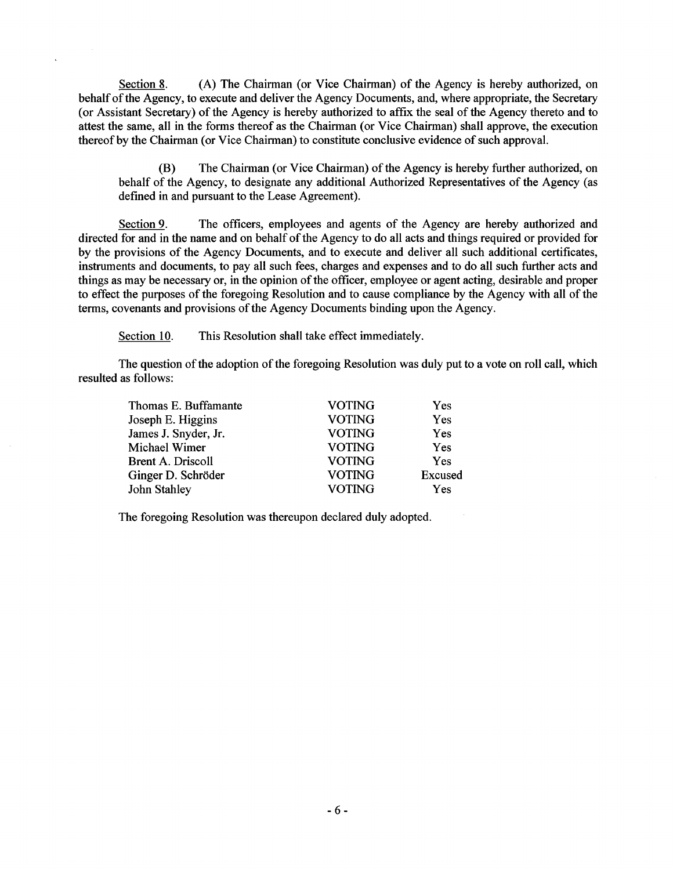Section 8. (A) The Chairman (or Vice Chairman) of the Agency is hereby authorized, on behalf of the Agency, to execute and deliver the Agency Documents, and, where appropriate, the Secretary behalf of the Agency, to execute and deliver the Agency Documents, and, where appropriate, the Secretary (or Assistant Secretary) of the Agency is hereby authorized to affix the seal of the Agency thereto and to (or Assistant Secretary) of the Agency is hereby authorized to affix the seal of the Agency thereto and to attest the same, all in the forms thereof as the Chairman (or Vice Chairman) shall approve, the execution attest the same, all in the forms thereof as the Chairman (or Vice Chairman) shall approve, the execution thereof by the Chairman (or Vice Chairman) to constitute conclusive evidence of such approval. thereof by the Chairman ( or Vice Chairman) to constitute conclusive evidence of such approval.

(B) The Chairman (or Vice Chairman) of the Agency is hereby further authorized, on (B) The Chairman (or Vice Chairman) of the Agency is hereby further authorized, on behalf of the Agency, to designate any additional Authorized Representatives of the Agency (as behalf of the Agency, to designate any additional Authorized Representatives of the Agency (as defined in and pursuant to the Lease Agreement). defined in and pursuant to the Lease Agreement).

Section 9. The officers, employees and agents of the Agency are hereby authorized and directed for and in the name and on behalf of the Agency to do all acts and things required or provided for directed for and in the name and on behalf of the Agency to do all acts and things required or provided for by the provisions of the Agency Documents, and to execute and deliver all such additional certificates, by the provisions of the Agency Documents, and to execute and deliver all such additional certificates, instruments and documents, to pay all such fees, charges and expenses and to do all such further acts and instruments and documents, to pay all such fees, charges and expenses and to do all such further acts and things as may be necessary or, in the opinion of the officer, employee or agent acting, desirable and proper things as may be necessary or, in the opinion of the officer, employee or agent acting, desirable and proper to effect the purposes of the foregoing Resolution and to cause compliance by the Agency with all of the to effect the purposes of the foregoing Resolution and to cause compliance by the Agency with all of the terms, covenants and provisions of the Agency Documents binding upon the Agency. terms, covenants and provisions of the Agency Documents binding upon the Agency.

Section 10. This Resolution shall take effect immediately.

The question of the adoption of the foregoing Resolution was duly put to a vote on roll call, which The question of the adoption of the foregoing Resolution was duly put to a vote on roll call, which resulted as follows: resulted as follows:

| Thomas E. Buffamante     | <b>VOTING</b> | Yes        |
|--------------------------|---------------|------------|
| Joseph E. Higgins        | <b>VOTING</b> | Yes        |
| James J. Snyder, Jr.     | <b>VOTING</b> | Yes        |
| Michael Wimer            | <b>VOTING</b> | Yes        |
| <b>Brent A. Driscoll</b> | <b>VOTING</b> | <b>Yes</b> |
| Ginger D. Schröder       | <b>VOTING</b> | Excused    |
| John Stahley             | <b>VOTING</b> | Yes        |

The foregoing Resolution was thereupon declared duly adopted. The foregoing Resolution was thereupon declared duly adopted.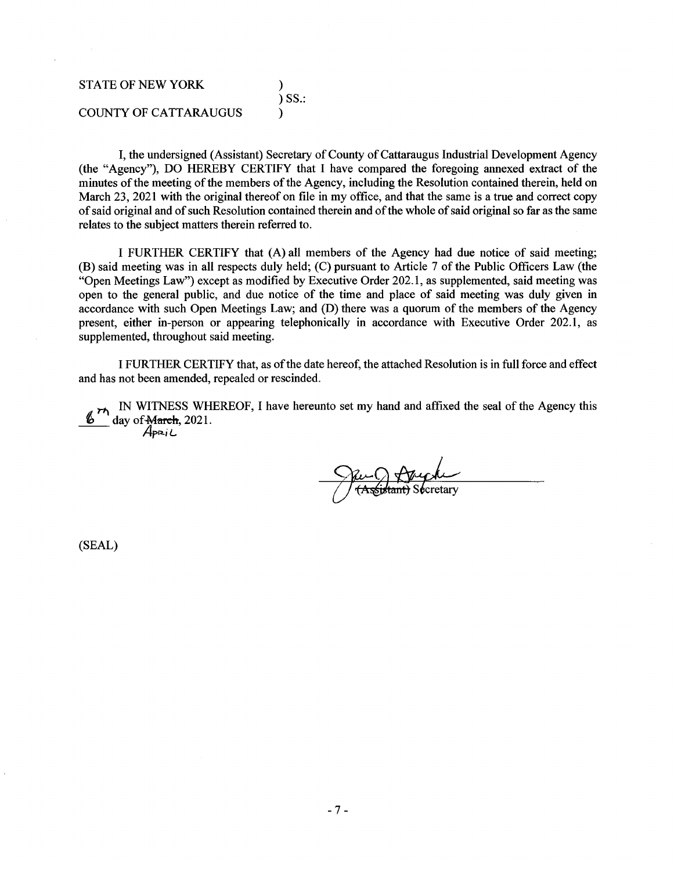## STATE OF NEW YORK (1988) ) SS.: ) SS.: COUNTY OF CATTARAUGUS COUNTY OF CATTARAUGUS )

I, the undersigned (Assistant) Secretary of County of Cattaraugus Industrial Development Agency I, the undersigned (Assistant) Secretary of County of Cattaraugus Industrial Development Agency (the "Agency"), DO HEREBY CERTIFY that I have compared the foregoing annexed extract of the (the "Agency"), DO HEREBY CERTIFY that I have compared the foregoing annexed extract of the minutes of the meeting of the members of the Agency, including the Resolution contained therein, held on minutes of the meeting of the members of the Agency, including the Resolution contained therein, held on March 23, 2021 with the original thereof on file in my office, and that the same is a true and correct copy March 23, 2021 with the original thereof on file in my office, and that the same is a true and correct copy of said original and of such Resolution contained therein and of the whole of said original so far as the same of said original and of such Resolution contained therein and of the whole of said original so far as the same relates to the subject matters therein referred to.

I FURTHER CERTIFY that (A) all members of the Agency had due notice of said meeting; I FURTHER CERTIFY that (A) all members of the Agency had due notice of said meeting; (B) said meeting was in all respects duly held; (C) pursuant to Article 7 of the Public Officers Law (the (B) said meeting was in all respects duly held; (C) pursuant to Article 7 of the Public Officers Law (the "Open Meetings Law") except as modified by Executive Order 202.1, as supplemented, said meeting was "Open Meetings Law") except as modified by Executive Order 202.1, as supplemented, said meeting was open to the general public, and due notice of the time and place of said meeting was duly given in accordance with such Open Meetings Law; and (D) there was a quorum of the members of the Agency accordance with such Open Meetings Law; and (D) there was a quorum of the members of the Agency present, either in-person or appearing telephonically in accordance with Executive Order 202.1, as present, either in-person or appearing telephonically in accordance with Executive Order 202.1, as supplemented, throughout said meeting. supplemented, throughout said meeting.

I FURTHER CERTIFY that, as of the date hereof, the attached Resolution is in full force and effect I FURTHER CERTIFY that, as of the date hereof, the attached Resolution is in full force and effect and has not been amended, repealed or rescinded. and has not been amended, repealed or rescinded.

IN WITNESS WHEREOF, I have hereunto set my hand and affixed the seal of the Agency this  $\delta$  day of March, 2021. IN WITNESS WHEREOF, I have hereunto set my hand and affixed the seal of the Agency this day of March, 2021.

iL.

cretary

(SEAL) /4pR.iL (SEAL)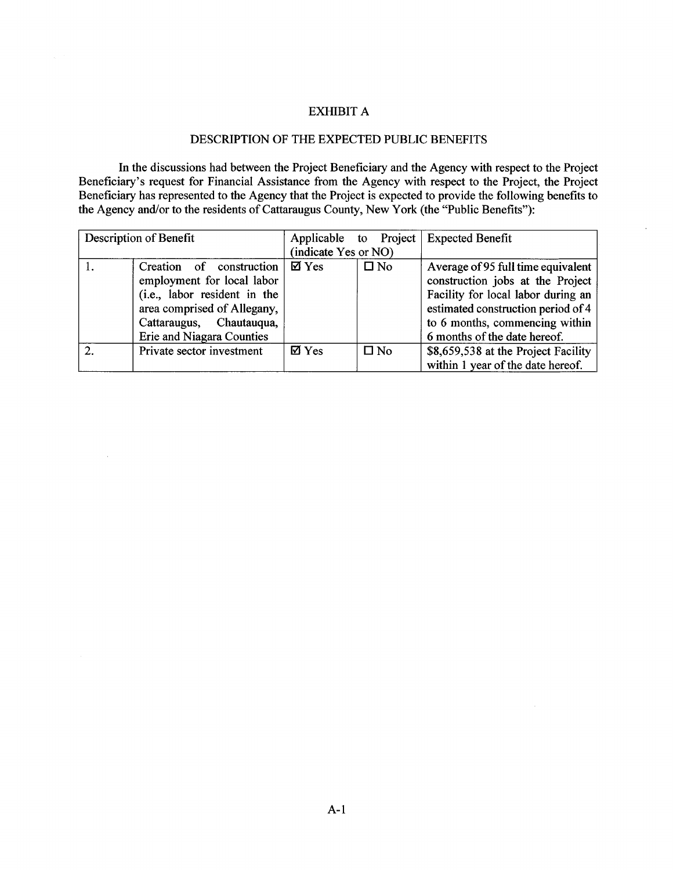#### EXHIBIT A EXHIBIT A

### DESCRIPTION OF THE EXPECTED PUBLIC BENEFITS DESCRIPTION OF THE EXPECTED PUBLIC BENEFITS

In the discussions had between the Project Beneficiary and the Agency with respect to the Project Beneficiary's request for Financial Assistance from the Agency with respect to the Project, the Project Beneficiary has represented to the Agency that the Project is expected to provide the following benefits to Beneficiary has represented to the Agency that the Project is expected to provide the following benefits to the Agency and/or to the residents of Cattaraugus County, New York (the "Public Benefits"): the Agency and/or to the residents of Cattaraugus County, New York (the "Public Benefits"): In the discussions had between the Project Beneficiary and the Agency with respect to the Project Beneficiary's request for Financial Assistance from the Agency with respect to the Project, the Project

 $\bar{z}$ 

|               | Description of Benefit       |                      |              | Applicable to Project   Expected Benefit |
|---------------|------------------------------|----------------------|--------------|------------------------------------------|
|               |                              | (indicate Yes or NO) |              |                                          |
|               | Creation of construction     | $\boxtimes$ Yes      | $\square$ No | Average of 95 full time equivalent       |
|               | employment for local labor   |                      |              | construction jobs at the Project         |
|               | (i.e., labor resident in the |                      |              | Facility for local labor during an       |
|               | area comprised of Allegany,  |                      |              | estimated construction period of 4       |
|               | Cattaraugus, Chautauqua,     |                      |              | to 6 months, commencing within           |
|               | Erie and Niagara Counties    |                      |              | 6 months of the date hereof.             |
| $\mathcal{D}$ | Private sector investment    | $\boxtimes$ Yes      | $\square$ No | \$8,659,538 at the Project Facility      |
|               |                              |                      |              | within 1 year of the date hereof.        |

 $\mathcal{A}^{\mathcal{A}}$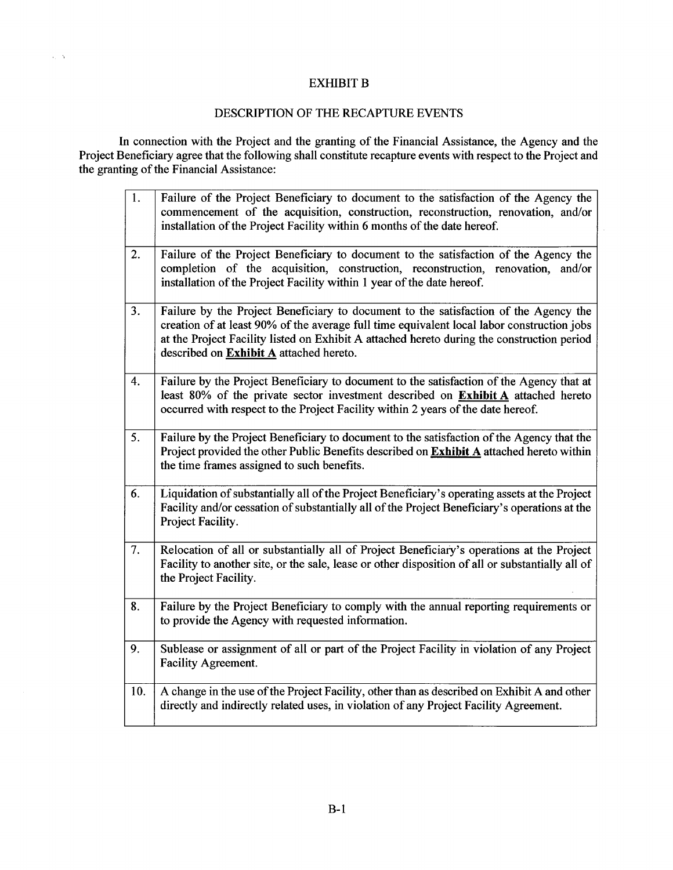## EXHIBIT B

 $\alpha_{\rm s} = 5$ 

### DESCRIPTION OF THE RECAPTURE EVENTS DESCRIPTION OF THE RECAPTURE EVENTS

In connection with the Project and the granting of the Financial Assistance, the Agency and the Project Beneficiary agree that the following shall constitute recapture events with respect to the Project and the granting of the Financial Assistance: In connection with the Project and the granting of the Financial Assistance, the Agency and the Project Beneficiary agree that the following shall constitute recapture events with respect to the Project and the granting of the Financial Assistance:

| $\overline{1}$ . | Failure of the Project Beneficiary to document to the satisfaction of the Agency the<br>commencement of the acquisition, construction, reconstruction, renovation, and/or<br>installation of the Project Facility within 6 months of the date hereof.                                                                       |
|------------------|-----------------------------------------------------------------------------------------------------------------------------------------------------------------------------------------------------------------------------------------------------------------------------------------------------------------------------|
| 2.               | Failure of the Project Beneficiary to document to the satisfaction of the Agency the<br>completion of the acquisition, construction, reconstruction, renovation, and/or<br>installation of the Project Facility within 1 year of the date hereof.                                                                           |
| 3.               | Failure by the Project Beneficiary to document to the satisfaction of the Agency the<br>creation of at least 90% of the average full time equivalent local labor construction jobs<br>at the Project Facility listed on Exhibit A attached hereto during the construction period<br>described on Exhibit A attached hereto. |
| 4.               | Failure by the Project Beneficiary to document to the satisfaction of the Agency that at<br>least 80% of the private sector investment described on Exhibit A attached hereto<br>occurred with respect to the Project Facility within 2 years of the date hereof.                                                           |
| 5.               | Failure by the Project Beneficiary to document to the satisfaction of the Agency that the<br>Project provided the other Public Benefits described on Exhibit A attached hereto within<br>the time frames assigned to such benefits.                                                                                         |
| 6.               | Liquidation of substantially all of the Project Beneficiary's operating assets at the Project<br>Facility and/or cessation of substantially all of the Project Beneficiary's operations at the<br>Project Facility.                                                                                                         |
| 7.               | Relocation of all or substantially all of Project Beneficiary's operations at the Project<br>Facility to another site, or the sale, lease or other disposition of all or substantially all of<br>the Project Facility.                                                                                                      |
| 8.               | Failure by the Project Beneficiary to comply with the annual reporting requirements or<br>to provide the Agency with requested information.                                                                                                                                                                                 |
| 9.               | Sublease or assignment of all or part of the Project Facility in violation of any Project<br><b>Facility Agreement.</b>                                                                                                                                                                                                     |
| 10.              | A change in the use of the Project Facility, other than as described on Exhibit A and other<br>directly and indirectly related uses, in violation of any Project Facility Agreement.                                                                                                                                        |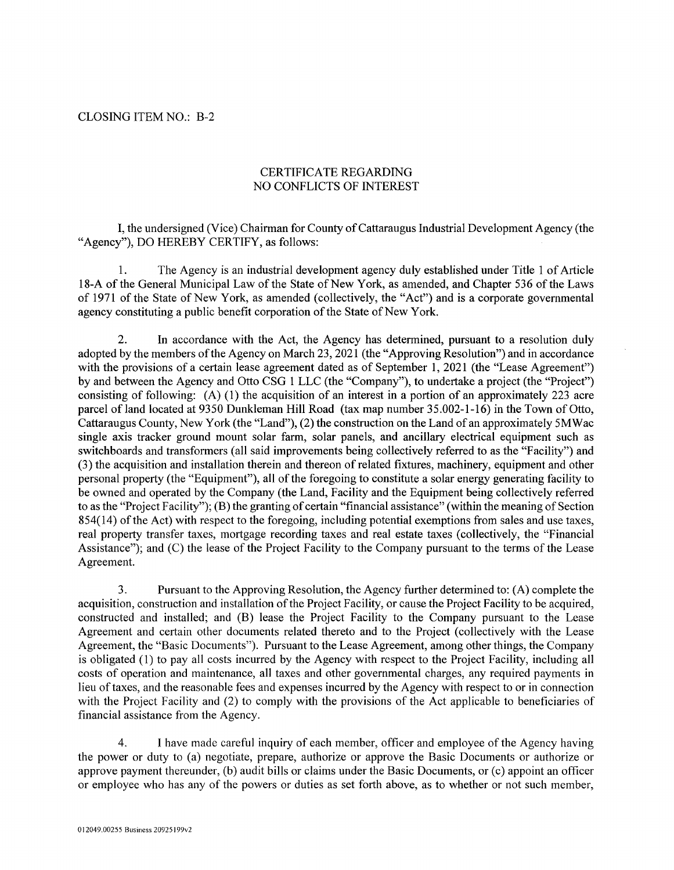# CLOSING ITEM NO.: B-2 CLOSING ITEM NO.: B-2

# CERTIFICATE REGARDING CERTIFICATE REGARDING NO CONFLICTS OF INTEREST NO CONFLICTS OF INTEREST

I, the undersigned (Vice) Chairman for County of Cattaraugus Industrial Development Agency (the I, the undersigned (Vice) Chairman for County of Cattaraugus Industrial Development Agency ( the "Agency"), DO HEREBY CERTIFY, as follows: "Agency"), DO HEREBY CERTIFY, as follows:

1. The Agency is an industrial development agency duly established under Title 1 of Article 1. The Agency is an industrial development agency duly established under Title 1 of Article 18-A of the General Municipal Law of the State of New York, as amended, and Chapter 536 of the Laws 18-A of the General Municipal Law of the State of New York, as amended, and Chapter 536 of the Laws of 1971 of the State of New York, as amended (collectively, the "Act") and is a corporate governmental agency constituting a public benefit corporation of the State of New York. agency constituting a public benefit corporation of the State of New York.

2. In accordance with the Act, the Agency has determined, pursuant to a resolution duly 2. In accordance with the Act, the Agency has determined, pursuant to a resolution duly adopted by the members of the Agency on March 23, 2021 (the "Approving Resolution") and in accordance adopted by the members of the Agency on March 23, 2021 (the "Approving Resolution") and in accordance with the provisions of a certain lease agreement dated as of September 1, 2021 (the "Lease Agreement") with the provisions of a certain lease agreement dated as of September 1, 2021 (the "Lease Agreement") by and between the Agency and Otto CSG 1 LLC (the "Company"), to undertake a project (the "Project") by and between the Agency and Otto CSG 1 LLC (the "Company"), to undertake a project (the "Project") consisting of following: (A) (1) the acquisition of an interest in a portion of an approximately 223 acre consisting of following: (A) (1) the acquisition of an interest in a portion of an approximately 223 acre parcel of land located at 9350 Dunkleman Hill Road (tax map number 35.002-1-16) in the Town of Otto, parcel of land located at 9350 Dunkleman Hill Road (tax map number 35.002-1-16) in the Town of Otto, Cattaraugus County, New York (the "Land"), (2) the construction on the Land of an approximately 5MWac Cattaraugus County, New York (the "Land"), (2) the construction on the Land of an approximately 5MWac single axis tracker ground mount solar farm, solar panels, and ancillary electrical equipment such as single axis tracker ground mount solar farm, solar panels, and ancillary electrical equipment such as switchboards and transformers (all said improvements being collectively referred to as the "Facility") and switchboards and transformers (all said improvements being collectively referred to as the "Facility") and (3) the acquisition and installation therein and thereon of related fixtures, machinery, equipment and other (3) the acquisition and installation therein and thereon of related fixtures, machinery, equipment and other personal property (the "Equipment"), all of the foregoing to constitute a solar energy generating facility to personal property (the "Equipment"), all of the foregoing to constitute a solar energy generating facility to be owned and operated by the Company (the Land, Facility and the Equipment being collectively referred be owned and operated by the Company (the Land, Facility and the Equipment being collectively referred to as the "Project Facility"); (B) the granting of certain "financial assistance" (within the meaning of Section 854(14) of the Act) with respect to the foregoing, including potential exemptions from sales and use taxes, 854(14) of the Act) with respect to the foregoing, including potential exemptions from sales and use taxes, real property transfer taxes, mortgage recording taxes and real estate taxes (collectively, the "Financial Assistance"); and (C) the lease of the Project Facility to the Company pursuant to the terms of the Lease Assistance"); and (C) the lease of the Project Facility to the Company pursuant to the terms of the Lease Agreement. Agreement.

3. Pursuant to the Approving Resolution, the Agency further determined to: (A) complete the 3. Pursuant to the Approving Resolution, the Agency further determined to: (A) complete the acquisition, construction and installation of the Project Facility, or cause the Project Facility to be acquired, constructed and installed; and (B) lease the Project Facility to the Company pursuant to the Lease constructed and installed; and (B) lease the Project Facility to the Company pursuant to the Lease Agreement and certain other documents related thereto and to the Project (collectively with the Lease Agreement and certain other documents related thereto and to the Project ( collectively with the Lease Agreement, the "Basic Documents"). Pursuant to the Lease Agreement, among other things, the Company Agreement, the "Basic Documents"). Pursuant to the Lease Agreement, among other things, the Company is obligated (1) to pay all costs incurred by the Agency with respect to the Project Facility, including all is obligated (1) to pay all costs incurred by the Agency with respect to the Project Facility, including all costs of operation and maintenance, all taxes and other governmental charges, any required payments in costs of operation and maintenance, all taxes and other governmental charges, any required payments in lieu of taxes, and the reasonable fees and expenses incurred by the Agency with respect to or in connection lieu of taxes, and the reasonable fees and expenses incurred by the Agency with respect to or in connection with the Project Facility and (2) to comply with the provisions of the Act applicable to beneficiaries of with the Project Facility and (2) to comply with the provisions of the Act applicable to beneficiaries of financial assistance from the Agency. financial assistance from the Agency.

4. I have made careful inquiry of each member, officer and employee of the Agency having 4. I have made careful inquiry of each member, officer and employee of the Agency having the power or duty to (a) negotiate, prepare, authorize or approve the Basic Documents or authorize or the power or duty to (a) negotiate, prepare, authorize or approve the Basic Documents or authorize or approve payment thereunder, (b) audit bills or claims under the Basic Documents, or (c) appoint an officer or employee who has any of the powers or duties as set forth above, as to whether or not such member, or employee who has any of the powers or duties as set forth above, as to whether or not such member,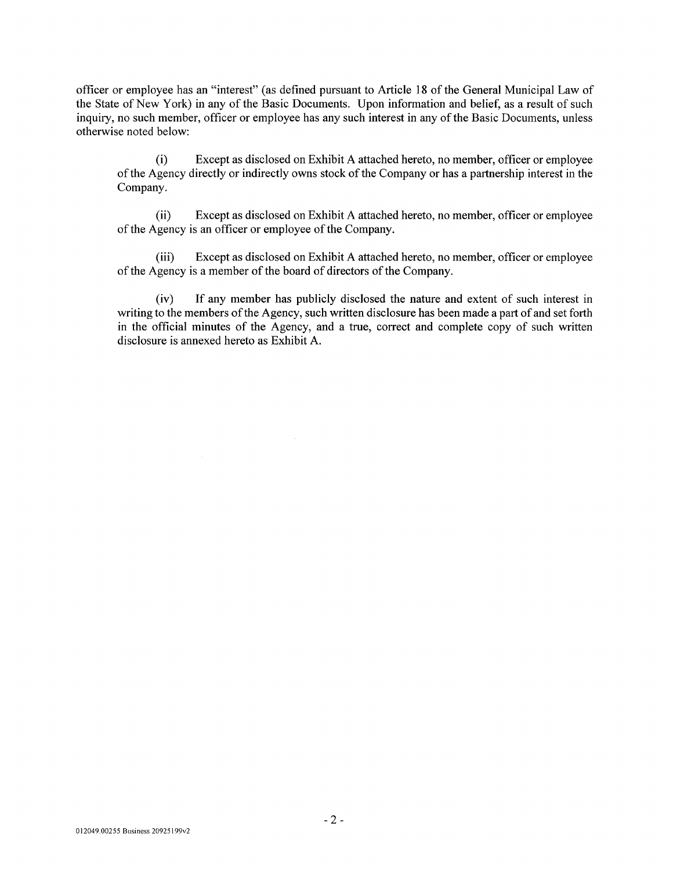officer or employee has an "interest" (as defined pursuant to Article 18 of the General Municipal Law of the State of New York) in any of the Basic Documents. Upon information and belief, as a result of such the State of New York) in any of the Basic Documents. Upon information and belief, as a result of such inquiry, no such member, officer or employee has any such interest in any of the Basic Documents, unless inquiry, no such member, officer or employee has any such interest in any of the Basic Documents, unless otherwise noted below: otherwise noted below:

(i) Except as disclosed on Exhibit A attached hereto, no member, officer or employee (i) Except as disclosed on Exhibit A attached hereto, no member, officer or employee of the Agency directly or indirectly owns stock of the Company or has a partnership interest in the Company. Company.

(ii) Except as disclosed on Exhibit A attached hereto, no member, officer or employee (ii) Except as disclosed on Exhibit A attached hereto, no member, officer or employee of the Agency is an officer or employee of the Company. of the Agency is an officer or employee of the Company.

(iii) Except as disclosed on Exhibit A attached hereto, no member, officer or employee (iii) Except as disclosed on Exhibit A attached hereto, no member, officer or employee of the Agency is a member of the board of directors of the Company. of the Agency is a member of the board of directors of the Company.

(iv) If any member has publicly disclosed the nature and extent of such interest in (iv) If any member has publicly disclosed the nature and extent of such interest in writing to the members of the Agency, such written disclosure has been made a part of and set forth writing to the members of the Agency, such written disclosure has been made a part of and set forth in the official minutes of the Agency, and a true, correct and complete copy of such written in the official minutes of the Agency, and a true, correct and complete copy of such written disclosure is annexed hereto as Exhibit A. disclosure is annexed hereto as Exhibit A.